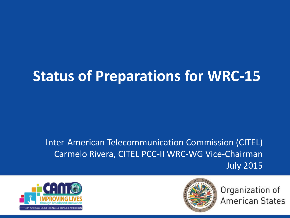## **Status of Preparations for WRC-15**

#### Inter-American Telecommunication Commission (CITEL) Carmelo Rivera, CITEL PCC-II WRC-WG Vice-Chairman July 2015





Organization of **American States**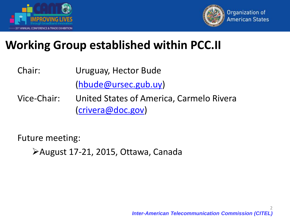



### **Working Group established within PCC.II**

- Chair: Uruguay, Hector Bude ([hbude@ursec.gub.uy\)](mailto:hbude@ursec.gub.uy)
- Vice-Chair: United States of America, Carmelo Rivera ([crivera@doc.gov](mailto:Carmelo.Rivera@doc.gov))

Future meeting:

August 17-21, 2015, Ottawa, Canada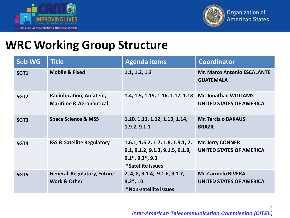



### **WRC Working Group Structure**

| <b>Sub WG</b>    | <b>Title</b>                                                         | <b>Agenda items</b>                                                                                                            | <b>Coordinator</b>                                           |
|------------------|----------------------------------------------------------------------|--------------------------------------------------------------------------------------------------------------------------------|--------------------------------------------------------------|
| SGT1             | <b>Mobile &amp; Fixed</b>                                            | 1.1, 1.2, 1.3                                                                                                                  | <b>Mr. Marco Antonio ESCALANTE</b><br><b>GUATEMALA</b>       |
| SGT <sub>2</sub> | <b>Radiolocation, Amateur,</b><br><b>Maritime &amp; Aeronautical</b> | 1.4, 1.5, 1.15, 1.16, 1.17, 1.18                                                                                               | <b>Mr. Jonathan WILLIAMS</b><br>UNITED STATES OF AMERICA     |
| SGT <sub>3</sub> | <b>Space Science &amp; MSS</b>                                       | 1.10, 1.11, 1.12, 1.13, 1.14,<br>1.9.2, 9.1.1                                                                                  | <b>Mr. Tarcisio BAKAUS</b><br><b>BRAZIL</b>                  |
| SGT4             | <b>FSS &amp; Satellite Regulatory</b>                                | 1.6.1, 1.6.2, 1.7, 1.8, 1.9.1, 7,<br>9.1, 9.1.2, 9.1.3, 9.1.5, 9.1.8,<br>$9.1^*$ , $9.2^*$ , $9.3$<br><i>*Satellite issues</i> | <b>Mr. Jerry CONNER</b><br><b>UNITED STATES OF AMERICA</b>   |
| SGT5             | <b>General Regulatory, Future</b><br><b>Work &amp; Other</b>         | 2, 4, 8, 9.1.4, 9.1.6, 9.1.7,<br>$9.2^*$ , 10<br>*Non-satellite issues                                                         | <b>Mr. Carmelo RIVERA</b><br><b>UNITED STATES OF AMERICA</b> |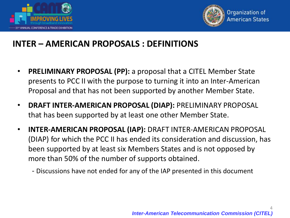



#### **INTER – AMERICAN PROPOSALS : DEFINITIONS**

- **PRELIMINARY PROPOSAL (PP):** a proposal that a CITEL Member State presents to PCC II with the purpose to turning it into an Inter-American Proposal and that has not been supported by another Member State.
- **DRAFT INTER-AMERICAN PROPOSAL (DIAP):** PRELIMINARY PROPOSAL that has been supported by at least one other Member State.
- **INTER-AMERICAN PROPOSAL (IAP):** DRAFT INTER-AMERICAN PROPOSAL (DIAP) for which the PCC II has ended its consideration and discussion, has been supported by at least six Members States and is not opposed by more than 50% of the number of supports obtained.
	- Discussions have not ended for any of the IAP presented in this document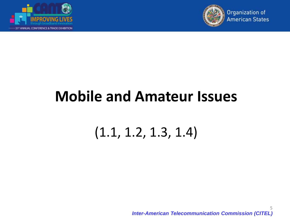



## **Mobile and Amateur Issues**

### (1.1, 1.2, 1.3, 1.4)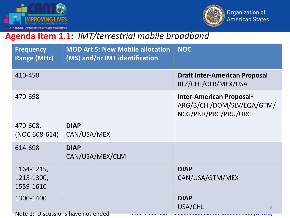



#### **Agenda Item 1.1:** *IMT/terrestrial mobile broadband*

| <b>Frequency</b><br><b>Range (MHz)</b>          | <b>MOD Art 5: New Mobile allocation</b><br>(MS) and/or IMT identification | <b>NOC</b>                                                                                |
|-------------------------------------------------|---------------------------------------------------------------------------|-------------------------------------------------------------------------------------------|
| 410-450                                         |                                                                           | <b>Draft Inter-American Proposal</b><br>BLZ/CHL/CTR/MEX/USA                               |
| 470-698                                         |                                                                           | Inter-American Proposal <sup>1</sup><br>ARG/B/CHI/DOM/SLV/EQA/GTM/<br>NCG/PNR/PRG/PRU/URG |
| 470-608,<br>(NOC 608-614)                       | <b>DIAP</b><br>CAN/USA/MEX                                                |                                                                                           |
| 614-698                                         | <b>DIAP</b><br>CAN/USA/MEX/CLM                                            |                                                                                           |
| 1164-1215,<br>1215-1300,<br>1559-1610           |                                                                           | <b>DIAP</b><br>CAN/USA/GTM/MEX                                                            |
| 1300-1400<br>Note 1: Discussions have not ended |                                                                           | <b>DIAP</b><br>USA/CHL<br>6                                                               |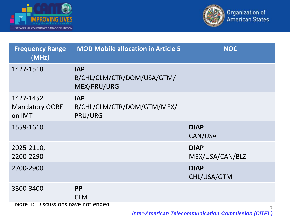



| <b>Frequency Range</b><br>(MHz)              | <b>MOD Mobile allocation in Article 5</b>               | <b>NOC</b>                     |  |  |
|----------------------------------------------|---------------------------------------------------------|--------------------------------|--|--|
| 1427-1518                                    | <b>IAP</b><br>B/CHL/CLM/CTR/DOM/USA/GTM/<br>MEX/PRU/URG |                                |  |  |
| 1427-1452<br><b>Mandatory OOBE</b><br>on IMT | <b>IAP</b><br>B/CHL/CLM/CTR/DOM/GTM/MEX/<br>PRU/URG     |                                |  |  |
| 1559-1610                                    |                                                         | <b>DIAP</b><br>CAN/USA         |  |  |
| 2025-2110,<br>2200-2290                      |                                                         | <b>DIAP</b><br>MEX/USA/CAN/BLZ |  |  |
| 2700-2900                                    |                                                         | <b>DIAP</b><br>CHL/USA/GTM     |  |  |
| 3300-3400                                    | <b>PP</b><br><b>CLM</b>                                 |                                |  |  |
| Note 1: Discussions have not ended           |                                                         |                                |  |  |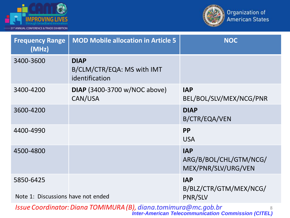



| <b>Frequency Range</b><br>(MHz)                 | <b>MOD Mobile allocation in Article 5</b>                   | <b>NOC</b>                                                  |
|-------------------------------------------------|-------------------------------------------------------------|-------------------------------------------------------------|
| 3400-3600                                       | <b>DIAP</b><br>B/CLM/CTR/EQA: MS with IMT<br>identification |                                                             |
| 3400-4200                                       | <b>DIAP</b> (3400-3700 w/NOC above)<br>CAN/USA              | <b>IAP</b><br>BEL/BOL/SLV/MEX/NCG/PNR                       |
| 3600-4200                                       |                                                             | <b>DIAP</b><br>B/CTR/EQA/VEN                                |
| 4400-4990                                       |                                                             | <b>PP</b><br><b>USA</b>                                     |
| 4500-4800                                       |                                                             | <b>IAP</b><br>ARG/B/BOL/CHL/GTM/NCG/<br>MEX/PNR/SLV/URG/VEN |
| 5850-6425<br>Note 1: Discussions have not ended |                                                             | <b>IAP</b><br>B/BLZ/CTR/GTM/MEX/NCG/<br>PNR/SLV             |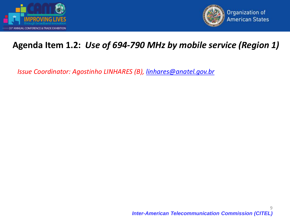



#### **Agenda Item 1.2:** *Use of 694-790 MHz by mobile service (Region 1)*

*Issue Coordinator: Agostinho LINHARES (B), [linhares@anatel.gov.br](mailto:linhares@anatel.gov.br)*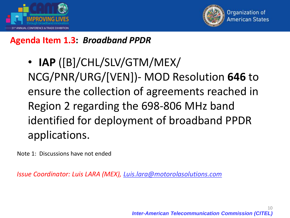



#### **Agenda Item 1.3:** *Broadband PPDR*

• **IAP** ([B]/CHL/SLV/GTM/MEX/ NCG/PNR/URG/[VEN])- MOD Resolution **646** to ensure the collection of agreements reached in Region 2 regarding the 698-806 MHz band identified for deployment of broadband PPDR applications.

Note 1: Discussions have not ended

*Issue Coordinator: Luis LARA (MEX), Luis.lara@motorolasolutions.com*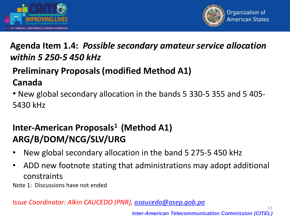



#### **Agenda Item 1.4:** *Possible secondary amateur service allocation within 5 250-5 450 kHz*

#### **Preliminary Proposals (modified Method A1) Canada**

• New global secondary allocation in the bands 5 330-5 355 and 5 405- 5430 kHz

#### **Inter-American Proposals<sup>1</sup>(Method A1) ARG/B/DOM/NCG/SLV/URG**

- New global secondary allocation in the band 5 275-5 450 kHz
- ADD new footnote stating that administrations may adopt additional constraints

Note 1: Discussions have not ended

*Issue Coordinator: Alkin CAUCEDO (PNR), [asaucedo@asep.gob.pa](mailto:asaucedo@asep.gob.pa)*

*Inter-American Telecommunication Commission (CITEL)*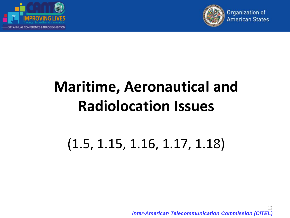



# **Maritime, Aeronautical and Radiolocation Issues**

### (1.5, 1.15, 1.16, 1.17, 1.18)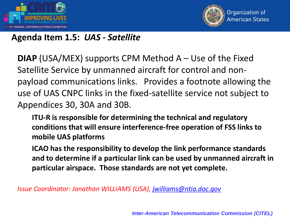



#### **Agenda Item 1.5:** *UAS - Satellite*

**DIAP** (USA/MEX) supports CPM Method A – Use of the Fixed Satellite Service by unmanned aircraft for control and nonpayload communications links. Provides a footnote allowing the use of UAS CNPC links in the fixed-satellite service not subject to Appendices 30, 30A and 30B.

**ITU-R is responsible for determining the technical and regulatory conditions that will ensure interference-free operation of FSS links to mobile UAS platforms**

**ICAO has the responsibility to develop the link performance standards and to determine if a particular link can be used by unmanned aircraft in particular airspace. Those standards are not yet complete.**

*Issue Coordinator: Jonathan WILLIAMS (USA), [jwilliams@ntia.doc.gov](mailto:jwilliams@ntia.doc.gov)*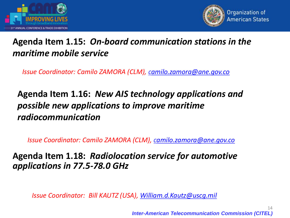



#### **Agenda Item 1.15:** *On-board communication stations in the maritime mobile service*

*Issue Coordinator: Camilo ZAMORA (CLM), c[amilo.zamora@ane.gov.co](mailto:Camilo.zamora@ane.gov.co)*

#### **Agenda Item 1.16:** *New AIS technology applications and possible new applications to improve maritime radiocommunication*

*Issue Coordinator: Camilo ZAMORA (CLM), c[amilo.zamora@ane.gov.co](mailto:Camilo.zamora@ane.gov.co)*

**Agenda Item 1.18:** *Radiolocation service for automotive applications in 77.5-78.0 GHz* 

*Issue Coordinator: Bill KAUTZ (USA), [William.d.Kautz@uscg.mil](mailto:William.d.Kautz@uscg.mil)*

*Inter-American Telecommunication Commission (CITEL)*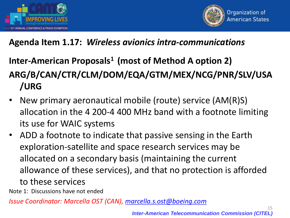



#### **Agenda Item 1.17:** *Wireless avionics intra-communications*

### **Inter-American Proposals<sup>1</sup>(most of Method A option 2) ARG/B/CAN/CTR/CLM/DOM/EQA/GTM/MEX/NCG/PNR/SLV/USA /URG**

- New primary aeronautical mobile (route) service (AM(R)S) allocation in the 4 200-4 400 MHz band with a footnote limiting its use for WAIC systems
- ADD a footnote to indicate that passive sensing in the Earth exploration-satellite and space research services may be allocated on a secondary basis (maintaining the current allowance of these services), and that no protection is afforded to these services

Note 1: Discussions have not ended

*Issue Coordinator: Marcella OST (CAN), [marcella.s.ost@boeing.com](mailto:marcella.s.ost@boeing.com)*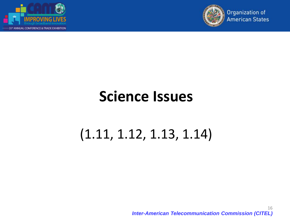



### **Science Issues**

### (1.11, 1.12, 1.13, 1.14)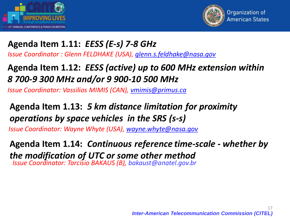



#### **Agenda Item 1.11:** *EESS (E-s) 7-8 GHz*

*Issue Coordinator : Glenn FELDHAKE (USA), [glenn.s.feldhake@nasa.gov](mailto:glenn.s.feldhake@nasa.gov)*

#### **Agenda Item 1.12:** *EESS (active) up to 600 MHz extension within 8 700-9 300 MHz and/or 9 900-10 500 MHz*

*Issue Coordinator: Vassilios MIMIS (CAN), [vmimis@primus.ca](mailto:vmimis@primus.ca)*

#### Agenda Item 1.13: 5 km distance limitation for proximity operations by space vehicles in the SRS (s-s)

*Issue Coordinator: Wayne Whyte (USA), [wayne.whyte@nasa.gov](mailto:edward.r.jacobs@nasa.gov)*

Agenda Item 1.14: Continuous reference time-scale - whether by the modification of UTC or some other method *Issue Coordinator: Tarcisio BAKAUS (B), bakaust@anatel.gov.br*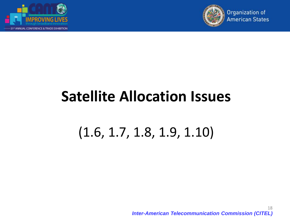



## **Satellite Allocation Issues**

### (1.6, 1.7, 1.8, 1.9, 1.10)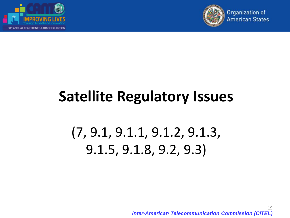



# **Satellite Regulatory Issues**

## (7, 9.1, 9.1.1, 9.1.2, 9.1.3, 9.1.5, 9.1.8, 9.2, 9.3)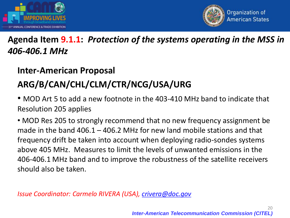



#### **Agenda Item 9.1.1:** *Protection of the systems operating in the MSS in 406-406.1 MHz*

#### **Inter-American Proposal**

#### **ARG/B/CAN/CHL/CLM/CTR/NCG/USA/URG**

• MOD Art 5 to add a new footnote in the 403-410 MHz band to indicate that Resolution 205 applies

• MOD Res 205 to strongly recommend that no new frequency assignment be made in the band 406.1 – 406.2 MHz for new land mobile stations and that frequency drift be taken into account when deploying radio-sondes systems above 405 MHz. Measures to limit the levels of unwanted emissions in the 406-406.1 MHz band and to improve the robustness of the satellite receivers should also be taken.

*Issue Coordinator: Carmelo RIVERA (USA), [crivera@doc.gov](mailto:crivera@doc.gov)*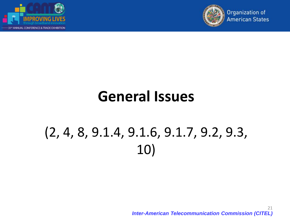



### **General Issues**

## (2, 4, 8, 9.1.4, 9.1.6, 9.1.7, 9.2, 9.3, 10)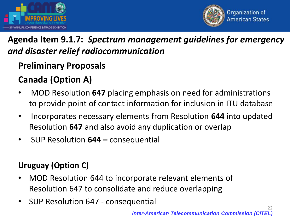



#### **Agenda Item 9.1.7:** *Spectrum management guidelines for emergency and disaster relief radiocommunication*

#### **Preliminary Proposals**

#### **Canada (Option A)**

- MOD Resolution **647** placing emphasis on need for administrations to provide point of contact information for inclusion in ITU database
- Incorporates necessary elements from Resolution **644** into updated Resolution **647** and also avoid any duplication or overlap
- SUP Resolution **644 –** consequential

#### **Uruguay (Option C)**

- MOD Resolution 644 to incorporate relevant elements of Resolution 647 to consolidate and reduce overlapping
- SUP Resolution 647 consequential

*Inter-American Telecommunication Commission (CITEL)*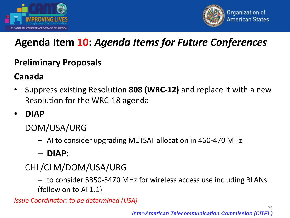



### **Agenda Item 10:** *Agenda Items for Future Conferences*

#### **Preliminary Proposals**

#### **Canada**

- Suppress existing Resolution **808 (WRC-12)** and replace it with a new Resolution for the WRC-18 agenda
- **DIAP**

DOM/USA/URG

- AI to consider upgrading METSAT allocation in 460-470 MHz
- **DIAP:**
- CHL/CLM/DOM/USA/URG

– to consider 5350-5470 MHz for wireless access use including RLANs (follow on to AI 1.1)

*Issue Coordinator: to be determined (USA)*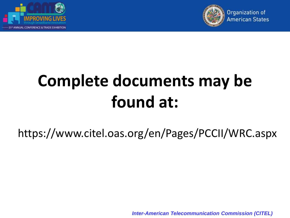



# **Complete documents may be found at:**

https://www.citel.oas.org/en/Pages/PCCII/WRC.aspx